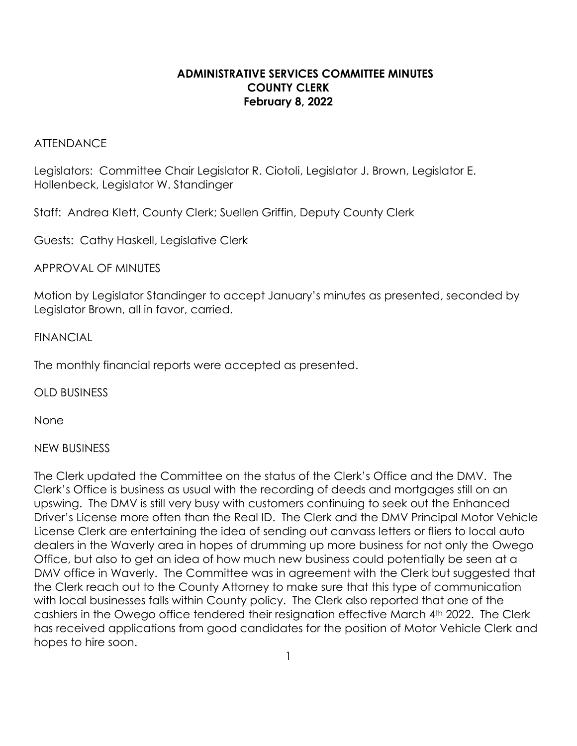## **ADMINISTRATIVE SERVICES COMMITTEE MINUTES COUNTY CLERK February 8, 2022**

#### **ATTENDANCE**

Legislators:Committee Chair Legislator R. Ciotoli, Legislator J. Brown, Legislator E. Hollenbeck, Legislator W. Standinger

Staff: Andrea Klett, County Clerk; Suellen Griffin, Deputy County Clerk

Guests: Cathy Haskell, Legislative Clerk

APPROVAL OF MINUTES

Motion by Legislator Standinger to accept January's minutes as presented, seconded by Legislator Brown, all in favor, carried.

### FINANCIAL

The monthly financial reports were accepted as presented.

OLD BUSINESS

None

## NEW BUSINESS

The Clerk updated the Committee on the status of the Clerk's Office and the DMV. The Clerk's Office is business as usual with the recording of deeds and mortgages still on an upswing. The DMV is still very busy with customers continuing to seek out the Enhanced Driver's License more often than the Real ID. The Clerk and the DMV Principal Motor Vehicle License Clerk are entertaining the idea of sending out canvass letters or fliers to local auto dealers in the Waverly area in hopes of drumming up more business for not only the Owego Office, but also to get an idea of how much new business could potentially be seen at a DMV office in Waverly. The Committee was in agreement with the Clerk but suggested that the Clerk reach out to the County Attorney to make sure that this type of communication with local businesses falls within County policy. The Clerk also reported that one of the cashiers in the Owego office tendered their resignation effective March 4th 2022. The Clerk has received applications from good candidates for the position of Motor Vehicle Clerk and hopes to hire soon.